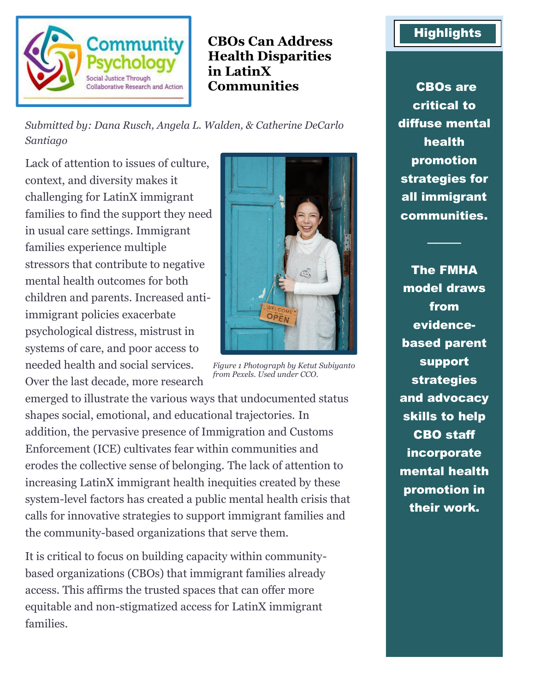

**CBOs Can Address Health Disparities in LatinX Communities** CBOs are

*Submitted by: Dana Rusch, Angela L. Walden, & Catherine DeCarlo Santiago*

Lack of attention to issues of culture, context, and diversity makes it challenging for LatinX immigrant families to find the support they need in usual care settings. Immigrant families experience multiple stressors that contribute to negative mental health outcomes for both children and parents. Increased antiimmigrant policies exacerbate psychological distress, mistrust in systems of care, and poor access to needed health and social services. Over the last decade, more research

emerged to illustrate the various ways that undocumented status shapes social, emotional, and educational trajectories. In addition, the pervasive presence of Immigration and Customs Enforcement (ICE) cultivates fear within communities and erodes the collective sense of belonging. The lack of attention to increasing LatinX immigrant health inequities created by these system-level factors has created a public mental health crisis that calls for innovative strategies to support immigrant families and the community-based organizations that serve them.

It is critical to focus on building capacity within communitybased organizations (CBOs) that immigrant families already access. This affirms the trusted spaces that can offer more equitable and non-stigmatized access for LatinX immigrant families.



*Figure 1 Photograph by Ketut Subiyanto from Pexels. Used under CCO.*

## **Highlights**

critical to diffuse mental health promotion strategies for all immigrant communities.

────

The FMHA model draws from evidencebased parent support strategies and advocacy skills to help CBO staff incorporate mental health promotion in their work.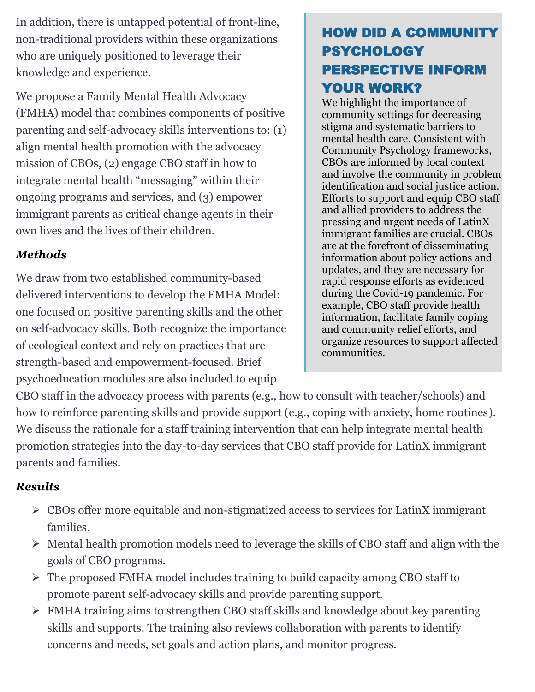In addition, there is untapped potential of front-line, non-traditional providers within these organizations who are uniquely positioned to leverage their knowledge and experience.

We propose a Family Mental Health Advocacy (FMHA) model that combines components of positive parenting and self-advocacy skills interventions to: (1) align mental health promotion with the advocacy mission of CBOs, (2) engage CBO staff in how to integrate mental health "messaging" within their ongoing programs and services, and (3) empower immigrant parents as critical change agents in their own lives and the lives of their children.

## *Methods*

We draw from two established community-based delivered interventions to develop the FMHA Model: one focused on positive parenting skills and the other on self-advocacy skills. Both recognize the importance of ecological context and rely on practices that are strength-based and empowerment-focused. Brief psychoeducation modules are also included to equip

# HOW DID A COMMUNITY PSYCHOLOGY PERSPECTIVE INFORM YOUR WORK?

We highlight the importance of community settings for decreasing stigma and systematic barriers to mental health care. Consistent with Community Psychology frameworks, CBOs are informed by local context and involve the community in problem identification and social justice action. Efforts to support and equip CBO staff and allied providers to address the pressing and urgent needs of LatinX immigrant families are crucial. CBOs are at the forefront of disseminating information about policy actions and updates, and they are necessary for rapid response efforts as evidenced during the Covid-19 pandemic. For example, CBO staff provide health information, facilitate family coping and community relief efforts, and organize resources to support affected communities.

CBO staff in the advocacy process with parents (e.g., how to consult with teacher/schools) and how to reinforce parenting skills and provide support (e.g., coping with anxiety, home routines). We discuss the rationale for a staff training intervention that can help integrate mental health promotion strategies into the day-to-day services that CBO staff provide for LatinX immigrant parents and families.

### *Results*

- ➢ CBOs offer more equitable and non-stigmatized access to services for LatinX immigrant families.
- ➢ Mental health promotion models need to leverage the skills of CBO staff and align with the goals of CBO programs.
- ➢ The proposed FMHA model includes training to build capacity among CBO staff to promote parent self-advocacy skills and provide parenting support.
- ➢ FMHA training aims to strengthen CBO staff skills and knowledge about key parenting skills and supports. The training also reviews collaboration with parents to identify concerns and needs, set goals and action plans, and monitor progress.